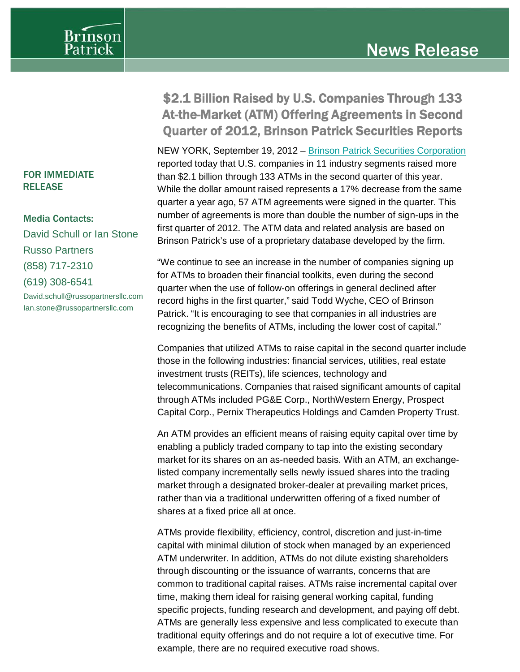

## FOR IMMEDIATE RELEASE

Media Contacts: David Schull or Ian Stone Russo Partners (858) 717-2310 (619) 308-6541 David.schull@russopartnersllc.com Ian.stone@russopartnersllc.com

## \$2.1 Billion Raised by U.S. Companies Through 133 At-the-Market (ATM) Offering Agreements in Second Quarter of 2012, Brinson Patrick Securities Reports

NEW YORK, September 19, 2012 – [Brinson Patrick Securities Corporation](http://www.brinsonpatrick.com/) reported today that U.S. companies in 11 industry segments raised more than \$2.1 billion through 133 ATMs in the second quarter of this year. While the dollar amount raised represents a 17% decrease from the same quarter a year ago, 57 ATM agreements were signed in the quarter. This number of agreements is more than double the number of sign-ups in the first quarter of 2012. The ATM data and related analysis are based on Brinson Patrick's use of a proprietary database developed by the firm.

"We continue to see an increase in the number of companies signing up for ATMs to broaden their financial toolkits, even during the second quarter when the use of follow-on offerings in general declined after record highs in the first quarter," said Todd Wyche, CEO of Brinson Patrick. "It is encouraging to see that companies in all industries are recognizing the benefits of ATMs, including the lower cost of capital."

Companies that utilized ATMs to raise capital in the second quarter include those in the following industries: financial services, utilities, real estate investment trusts (REITs), life sciences, technology and telecommunications. Companies that raised significant amounts of capital through ATMs included PG&E Corp., NorthWestern Energy, Prospect Capital Corp., Pernix Therapeutics Holdings and Camden Property Trust.

An ATM provides an efficient means of raising equity capital over time by enabling a publicly traded company to tap into the existing secondary market for its shares on an as-needed basis. With an ATM, an exchangelisted company incrementally sells newly issued shares into the trading market through a designated broker-dealer at prevailing market prices, rather than via a traditional underwritten offering of a fixed number of shares at a fixed price all at once.

ATMs provide flexibility, efficiency, control, discretion and just-in-time capital with minimal dilution of stock when managed by an experienced ATM underwriter. In addition, ATMs do not dilute existing shareholders through discounting or the issuance of warrants, concerns that are common to traditional capital raises. ATMs raise incremental capital over time, making them ideal for raising general working capital, funding specific projects, funding research and development, and paying off debt. ATMs are generally less expensive and less complicated to execute than traditional equity offerings and do not require a lot of executive time. For example, there are no required executive road shows.